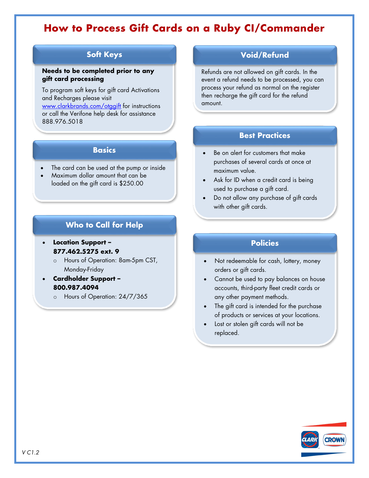# **How to Process Gift Cards on a Ruby CI/Commander**

# **Soft Keys**

#### **Needs to be completed prior to any gift card processing**

To program soft keys for gift card Activations and Recharges please visit

[www.clarkbrands.com/otggift](http://www.clarkbrands.com/otggift) for instructions or call the Verifone help desk for assistance 888.976.5018

### **Basics**

- The card can be used at the pump or inside
- Maximum dollar amount that can be loaded on the gift card is \$250.00

# **Who to Call for Help**

#### • **Location Support – 877.462.5275 ext. 9**

- o Hours of Operation: 8am-5pm CST, Monday-Friday
- **Cardholder Support – 800.987.4094**
	- o Hours of Operation: 24/7/365

# **Void/Refund**

Refunds are not allowed on gift cards. In the event a refund needs to be processed, you can process your refund as normal on the register then recharge the gift card for the refund amount.

# **Best Practices**

- Be on alert for customers that make purchases of several cards at once at maximum value.
- Ask for ID when a credit card is being used to purchase a gift card.
- Do not allow any purchase of gift cards with other gift cards.

# **Policies**

- Not redeemable for cash, lottery, money orders or gift cards.
- Cannot be used to pay balances on house accounts, third-party fleet credit cards or any other payment methods.
- The gift card is intended for the purchase of products or services at your locations.
- Lost or stolen gift cards will not be replaced.